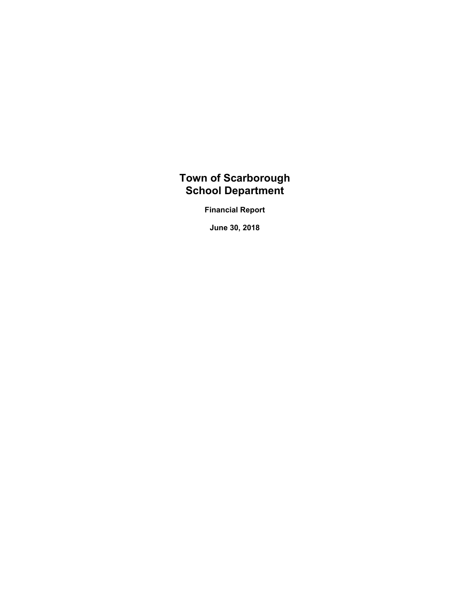# **Town of Scarborough School Department**

**Financial Report**

**June 30, 2018**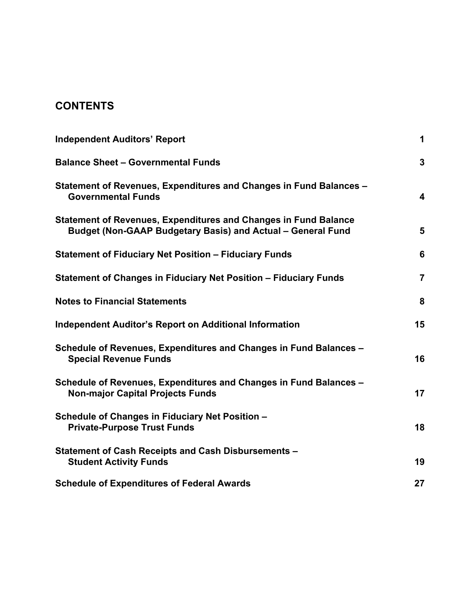# **CONTENTS**

| <b>Independent Auditors' Report</b>                                                                                                   | 1              |
|---------------------------------------------------------------------------------------------------------------------------------------|----------------|
| <b>Balance Sheet - Governmental Funds</b>                                                                                             | $\mathbf{3}$   |
| Statement of Revenues, Expenditures and Changes in Fund Balances -<br><b>Governmental Funds</b>                                       | 4              |
| <b>Statement of Revenues, Expenditures and Changes in Fund Balance</b><br>Budget (Non-GAAP Budgetary Basis) and Actual - General Fund | 5              |
| <b>Statement of Fiduciary Net Position - Fiduciary Funds</b>                                                                          | 6              |
| Statement of Changes in Fiduciary Net Position - Fiduciary Funds                                                                      | $\overline{7}$ |
| <b>Notes to Financial Statements</b>                                                                                                  | 8              |
| <b>Independent Auditor's Report on Additional Information</b>                                                                         | 15             |
| Schedule of Revenues, Expenditures and Changes in Fund Balances -<br><b>Special Revenue Funds</b>                                     | 16             |
| Schedule of Revenues, Expenditures and Changes in Fund Balances -<br><b>Non-major Capital Projects Funds</b>                          | 17             |
| Schedule of Changes in Fiduciary Net Position -<br><b>Private-Purpose Trust Funds</b>                                                 | 18             |
| Statement of Cash Receipts and Cash Disbursements -<br><b>Student Activity Funds</b>                                                  | 19             |
| <b>Schedule of Expenditures of Federal Awards</b>                                                                                     | 27             |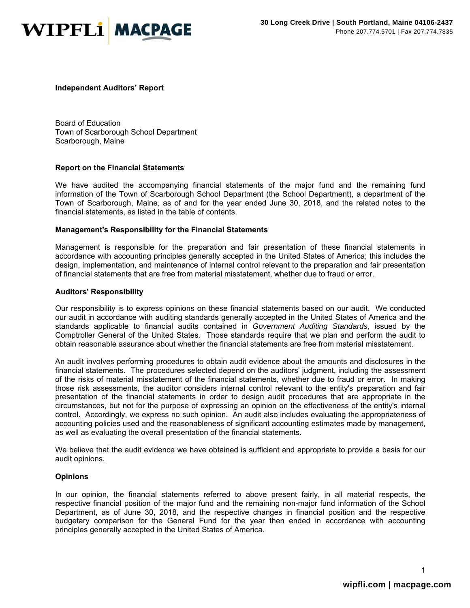

#### **Independent Auditors' Report**

Board of Education Town of Scarborough School Department Scarborough, Maine

#### **Report on the Financial Statements**

We have audited the accompanying financial statements of the major fund and the remaining fund information of the Town of Scarborough School Department (the School Department), a department of the Town of Scarborough, Maine, as of and for the year ended June 30, 2018, and the related notes to the financial statements, as listed in the table of contents.

#### **Management's Responsibility for the Financial Statements**

Management is responsible for the preparation and fair presentation of these financial statements in accordance with accounting principles generally accepted in the United States of America; this includes the design, implementation, and maintenance of internal control relevant to the preparation and fair presentation of financial statements that are free from material misstatement, whether due to fraud or error.

#### **Auditors' Responsibility**

Our responsibility is to express opinions on these financial statements based on our audit. We conducted our audit in accordance with auditing standards generally accepted in the United States of America and the standards applicable to financial audits contained in *Government Auditing Standards*, issued by the Comptroller General of the United States. Those standards require that we plan and perform the audit to obtain reasonable assurance about whether the financial statements are free from material misstatement.

An audit involves performing procedures to obtain audit evidence about the amounts and disclosures in the financial statements. The procedures selected depend on the auditors' judgment, including the assessment of the risks of material misstatement of the financial statements, whether due to fraud or error. In making those risk assessments, the auditor considers internal control relevant to the entity's preparation and fair presentation of the financial statements in order to design audit procedures that are appropriate in the circumstances, but not for the purpose of expressing an opinion on the effectiveness of the entity's internal control. Accordingly, we express no such opinion. An audit also includes evaluating the appropriateness of accounting policies used and the reasonableness of significant accounting estimates made by management, as well as evaluating the overall presentation of the financial statements.

We believe that the audit evidence we have obtained is sufficient and appropriate to provide a basis for our audit opinions.

#### **Opinions**

In our opinion, the financial statements referred to above present fairly, in all material respects, the respective financial position of the major fund and the remaining non-major fund information of the School Department, as of June 30, 2018, and the respective changes in financial position and the respective budgetary comparison for the General Fund for the year then ended in accordance with accounting principles generally accepted in the United States of America.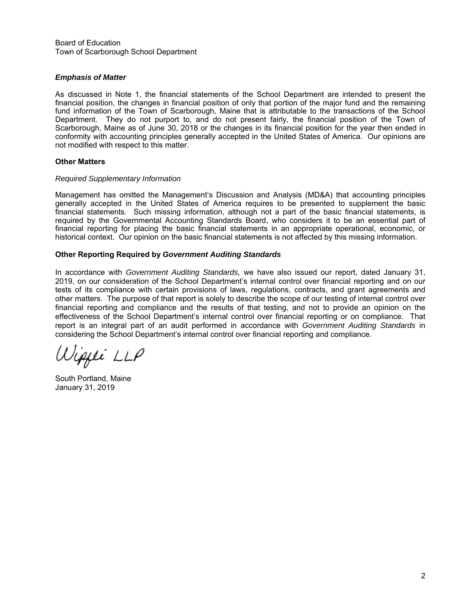Board of Education Town of Scarborough School Department

#### *Emphasis of Matter*

As discussed in Note 1, the financial statements of the School Department are intended to present the financial position, the changes in financial position of only that portion of the major fund and the remaining fund information of the Town of Scarborough, Maine that is attributable to the transactions of the School Department. They do not purport to, and do not present fairly, the financial position of the Town of Scarborough, Maine as of June 30, 2018 or the changes in its financial position for the year then ended in conformity with accounting principles generally accepted in the United States of America. Our opinions are not modified with respect to this matter.

#### **Other Matters**

#### *Required Supplementary Information*

Management has omitted the Management's Discussion and Analysis (MD&A) that accounting principles generally accepted in the United States of America requires to be presented to supplement the basic financial statements. Such missing information, although not a part of the basic financial statements, is required by the Governmental Accounting Standards Board, who considers it to be an essential part of financial reporting for placing the basic financial statements in an appropriate operational, economic, or historical context. Our opinion on the basic financial statements is not affected by this missing information.

#### **Other Reporting Required by** *Government Auditing Standards*

In accordance with *Government Auditing Standards,* we have also issued our report, dated January 31, 2019, on our consideration of the School Department's internal control over financial reporting and on our tests of its compliance with certain provisions of laws, regulations, contracts, and grant agreements and other matters. The purpose of that report is solely to describe the scope of our testing of internal control over financial reporting and compliance and the results of that testing, and not to provide an opinion on the effectiveness of the School Department's internal control over financial reporting or on compliance. That report is an integral part of an audit performed in accordance with *Government Auditing Standards* in considering the School Department's internal control over financial reporting and compliance.

Wippe LLP

South Portland, Maine January 31, 2019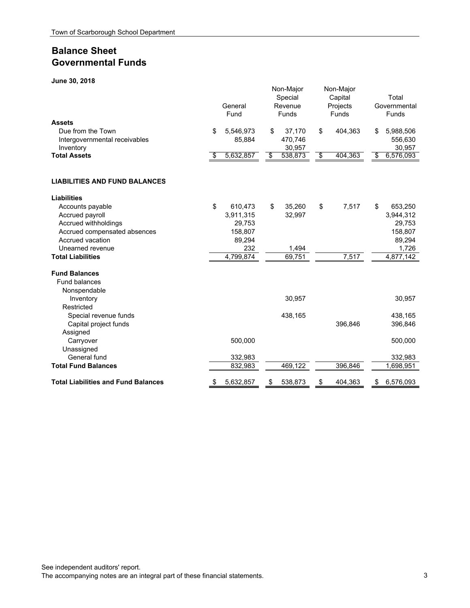# **Balance Sheet Governmental Funds**

**June 30, 2018**

| JUIIT JU, ZU IU                                                                  | General<br>Fund           | Non-Major<br>Special<br>Revenue<br><b>Funds</b> | Non-Major<br>Capital<br>Projects<br>Funds | Total<br>Governmental<br>Funds       |
|----------------------------------------------------------------------------------|---------------------------|-------------------------------------------------|-------------------------------------------|--------------------------------------|
| <b>Assets</b><br>Due from the Town<br>Intergovernmental receivables<br>Inventory | \$<br>5,546,973<br>85,884 | \$<br>37,170<br>470,746<br>30,957               | \$<br>404,363                             | \$<br>5,988,506<br>556,630<br>30,957 |
| <b>Total Assets</b>                                                              | \$<br>5,632,857           | \$<br>538,873                                   | \$<br>404,363                             | \$<br>6,576,093                      |
| <b>LIABILITIES AND FUND BALANCES</b>                                             |                           |                                                 |                                           |                                      |
| <b>Liabilities</b>                                                               |                           |                                                 |                                           |                                      |
| Accounts payable                                                                 | \$<br>610,473             | \$<br>35,260                                    | \$<br>7,517                               | \$<br>653,250                        |
| Accrued payroll                                                                  | 3,911,315                 | 32,997                                          |                                           | 3,944,312                            |
| Accrued withholdings                                                             | 29,753                    |                                                 |                                           | 29,753                               |
| Accrued compensated absences                                                     | 158,807                   |                                                 |                                           | 158,807                              |
| Accrued vacation                                                                 | 89,294                    |                                                 |                                           | 89,294                               |
| Unearned revenue<br><b>Total Liabilities</b>                                     | 232<br>4,799,874          | 1,494<br>69,751                                 | 7,517                                     | 1,726<br>4,877,142                   |
|                                                                                  |                           |                                                 |                                           |                                      |
| <b>Fund Balances</b>                                                             |                           |                                                 |                                           |                                      |
| <b>Fund balances</b>                                                             |                           |                                                 |                                           |                                      |
| Nonspendable                                                                     |                           |                                                 |                                           |                                      |
| Inventory                                                                        |                           | 30,957                                          |                                           | 30,957                               |
| Restricted                                                                       |                           |                                                 |                                           |                                      |
| Special revenue funds                                                            |                           | 438,165                                         | 396,846                                   | 438,165                              |
| Capital project funds<br>Assigned                                                |                           |                                                 |                                           | 396,846                              |
| Carryover                                                                        | 500,000                   |                                                 |                                           | 500,000                              |
| Unassigned                                                                       |                           |                                                 |                                           |                                      |
| General fund                                                                     | 332,983                   |                                                 |                                           | 332,983                              |
| <b>Total Fund Balances</b>                                                       | 832,983                   | 469,122                                         | 396,846                                   | 1,698,951                            |
| <b>Total Liabilities and Fund Balances</b>                                       | 5,632,857                 | \$<br>538,873                                   | 404,363                                   | \$<br>6,576,093                      |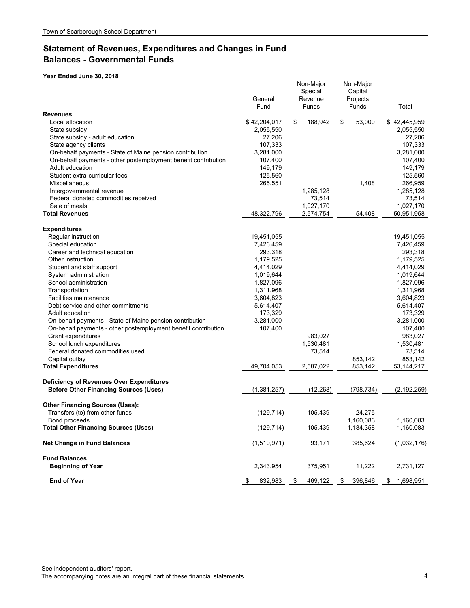## **Statement of Revenues, Expenditures and Changes in Fund Balances - Governmental Funds**

|                                                                                                 | General<br>Fund | Non-Major<br>Special<br>Revenue<br>Funds | Non-Major<br>Capital<br>Projects<br>Funds | Total           |
|-------------------------------------------------------------------------------------------------|-----------------|------------------------------------------|-------------------------------------------|-----------------|
| <b>Revenues</b>                                                                                 |                 |                                          |                                           |                 |
| Local allocation                                                                                | \$42,204,017    | 188,942<br>\$                            | \$<br>53,000                              | \$42,445,959    |
| State subsidy                                                                                   | 2,055,550       |                                          |                                           | 2,055,550       |
| State subsidy - adult education                                                                 | 27,206          |                                          |                                           | 27,206          |
| State agency clients                                                                            | 107,333         |                                          |                                           | 107,333         |
| On-behalf payments - State of Maine pension contribution                                        | 3,281,000       |                                          |                                           | 3,281,000       |
| On-behalf payments - other postemployment benefit contribution                                  | 107,400         |                                          |                                           | 107,400         |
| Adult education                                                                                 | 149,179         |                                          |                                           | 149,179         |
| Student extra-curricular fees                                                                   | 125,560         |                                          |                                           | 125,560         |
| Miscellaneous                                                                                   | 265,551         |                                          | 1,408                                     | 266,959         |
| Intergovernmental revenue                                                                       |                 | 1,285,128                                |                                           | 1,285,128       |
| Federal donated commodities received                                                            |                 | 73,514                                   |                                           | 73,514          |
| Sale of meals                                                                                   |                 | 1,027,170                                |                                           | 1,027,170       |
| <b>Total Revenues</b>                                                                           | 48,322,796      | 2,574,754                                | 54,408                                    | 50,951,958      |
| <b>Expenditures</b>                                                                             |                 |                                          |                                           |                 |
| Regular instruction                                                                             | 19,451,055      |                                          |                                           | 19,451,055      |
| Special education                                                                               | 7,426,459       |                                          |                                           | 7,426,459       |
| Career and technical education                                                                  | 293,318         |                                          |                                           | 293,318         |
| Other instruction                                                                               | 1,179,525       |                                          |                                           | 1,179,525       |
| Student and staff support                                                                       | 4,414,029       |                                          |                                           | 4,414,029       |
| System administration                                                                           | 1,019,644       |                                          |                                           | 1,019,644       |
| School administration                                                                           | 1,827,096       |                                          |                                           | 1,827,096       |
| Transportation                                                                                  | 1,311,968       |                                          |                                           | 1,311,968       |
| <b>Facilities maintenance</b>                                                                   | 3,604,823       |                                          |                                           | 3,604,823       |
| Debt service and other commitments                                                              | 5,614,407       |                                          |                                           | 5,614,407       |
| Adult education                                                                                 | 173,329         |                                          |                                           | 173,329         |
| On-behalf payments - State of Maine pension contribution                                        | 3,281,000       |                                          |                                           | 3,281,000       |
| On-behalf payments - other postemployment benefit contribution                                  | 107,400         |                                          |                                           | 107,400         |
| Grant expenditures                                                                              |                 | 983,027                                  |                                           | 983,027         |
| School lunch expenditures                                                                       |                 | 1,530,481                                |                                           | 1,530,481       |
| Federal donated commodities used                                                                |                 | 73,514                                   |                                           | 73,514          |
| Capital outlay                                                                                  |                 |                                          | 853,142                                   | 853,142         |
| <b>Total Expenditures</b>                                                                       | 49,704,053      | 2,587,022                                | 853,142                                   | 53,144,217      |
|                                                                                                 |                 |                                          |                                           |                 |
| <b>Deficiency of Revenues Over Expenditures</b><br><b>Before Other Financing Sources (Uses)</b> | (1, 381, 257)   | (12, 268)                                | (798, 734)                                | (2, 192, 259)   |
|                                                                                                 |                 |                                          |                                           |                 |
| <b>Other Financing Sources (Uses):</b>                                                          |                 |                                          |                                           |                 |
| Transfers (to) from other funds                                                                 | (129, 714)      | 105,439                                  | 24,275                                    |                 |
| Bond proceeds                                                                                   |                 |                                          | 1,160,083                                 | 1,160,083       |
| <b>Total Other Financing Sources (Uses)</b>                                                     | (129, 714)      | 105,439                                  | 1,184,358                                 | 1,160,083       |
| <b>Net Change in Fund Balances</b>                                                              | (1,510,971)     | 93,171                                   | 385,624                                   | (1,032,176)     |
| <b>Fund Balances</b>                                                                            |                 |                                          |                                           |                 |
| <b>Beginning of Year</b>                                                                        | 2,343,954       | 375,951                                  | 11,222                                    | 2,731,127       |
| <b>End of Year</b>                                                                              | 832,983<br>\$   | 469,122<br>\$                            | 396,846<br>\$                             | 1,698,951<br>\$ |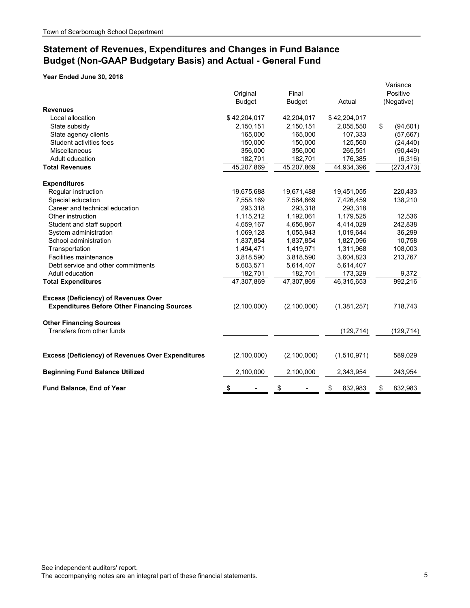# **Statement of Revenues, Expenditures and Changes in Fund Balance Budget (Non-GAAP Budgetary Basis) and Actual - General Fund**

|                                                          | Original<br><b>Budget</b> | Final<br><b>Budget</b> | Actual        | Variance<br>Positive<br>(Negative) |
|----------------------------------------------------------|---------------------------|------------------------|---------------|------------------------------------|
| <b>Revenues</b>                                          |                           |                        |               |                                    |
| Local allocation                                         | \$42,204,017              | 42,204,017             | \$42,204,017  |                                    |
| State subsidy                                            | 2,150,151                 | 2,150,151              | 2,055,550     | \$<br>(94, 601)                    |
| State agency clients                                     | 165,000                   | 165,000                | 107,333       | (57, 667)                          |
| Student activities fees                                  | 150,000                   | 150,000                | 125,560       | (24, 440)                          |
| Miscellaneous                                            | 356,000                   | 356,000                | 265,551       | (90, 449)                          |
| Adult education                                          | 182,701                   | 182,701                | 176,385       | (6, 316)                           |
| <b>Total Revenues</b>                                    | 45,207,869                | 45,207,869             | 44,934,396    | (273, 473)                         |
| <b>Expenditures</b>                                      |                           |                        |               |                                    |
| Regular instruction                                      | 19,675,688                | 19,671,488             | 19,451,055    | 220,433                            |
| Special education                                        | 7,558,169                 | 7,564,669              | 7,426,459     | 138,210                            |
| Career and technical education                           | 293,318                   | 293,318                | 293,318       |                                    |
| Other instruction                                        | 1,115,212                 | 1,192,061              | 1,179,525     | 12,536                             |
| Student and staff support                                | 4,659,167                 | 4,656,867              | 4,414,029     | 242,838                            |
| System administration                                    | 1,069,128                 | 1,055,943              | 1,019,644     | 36,299                             |
| School administration                                    | 1,837,854                 | 1,837,854              | 1,827,096     | 10,758                             |
| Transportation                                           | 1,494,471                 | 1,419,971              | 1,311,968     | 108,003                            |
| Facilities maintenance                                   | 3,818,590                 | 3,818,590              | 3,604,823     | 213,767                            |
| Debt service and other commitments                       | 5,603,571                 | 5,614,407              | 5,614,407     |                                    |
| Adult education                                          | 182,701                   | 182,701                | 173,329       | 9,372                              |
| <b>Total Expenditures</b>                                | 47,307,869                | 47,307,869             | 46,315,653    | 992,216                            |
| <b>Excess (Deficiency) of Revenues Over</b>              |                           |                        |               |                                    |
| <b>Expenditures Before Other Financing Sources</b>       | (2,100,000)               | (2, 100, 000)          | (1,381,257)   | 718,743                            |
| <b>Other Financing Sources</b>                           |                           |                        |               |                                    |
| Transfers from other funds                               |                           |                        | (129, 714)    | (129, 714)                         |
| <b>Excess (Deficiency) of Revenues Over Expenditures</b> | (2,100,000)               | (2,100,000)            | (1,510,971)   | 589,029                            |
| <b>Beginning Fund Balance Utilized</b>                   | 2,100,000                 | 2,100,000              | 2,343,954     | 243,954                            |
| Fund Balance, End of Year                                | \$                        | \$                     | 832,983<br>\$ | \$<br>832,983                      |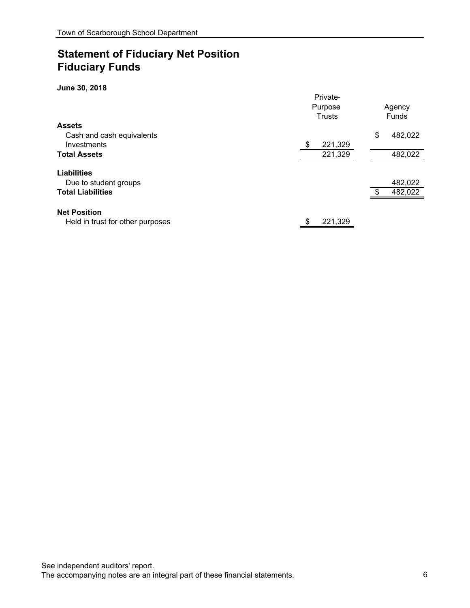# **Statement of Fiduciary Net Position Fiduciary Funds**

#### **June 30, 2018**

|                                  | Private-      |               |
|----------------------------------|---------------|---------------|
|                                  | Purpose       | Agency        |
|                                  | <b>Trusts</b> | Funds         |
| <b>Assets</b>                    |               |               |
| Cash and cash equivalents        |               | \$<br>482,022 |
| Investments                      | 221,329<br>\$ |               |
| <b>Total Assets</b>              | 221,329       | 482,022       |
| <b>Liabilities</b>               |               |               |
| Due to student groups            |               | 482,022       |
| <b>Total Liabilities</b>         |               | 482,022       |
| <b>Net Position</b>              |               |               |
| Held in trust for other purposes | 221,329<br>\$ |               |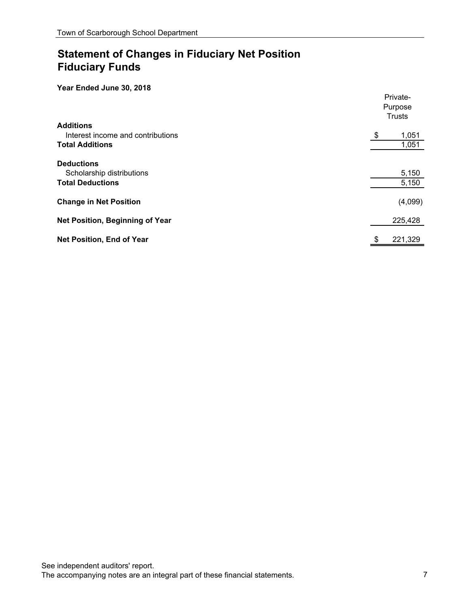# **Statement of Changes in Fiduciary Net Position Fiduciary Funds**

|                                   | Private-<br>Purpose<br><b>Trusts</b> |
|-----------------------------------|--------------------------------------|
| <b>Additions</b>                  |                                      |
| Interest income and contributions | \$<br>1,051                          |
| <b>Total Additions</b>            | 1,051                                |
| <b>Deductions</b>                 |                                      |
| Scholarship distributions         | 5,150                                |
| <b>Total Deductions</b>           | 5,150                                |
| <b>Change in Net Position</b>     | (4,099)                              |
| Net Position, Beginning of Year   | 225,428                              |
| <b>Net Position, End of Year</b>  | 221,329<br>\$                        |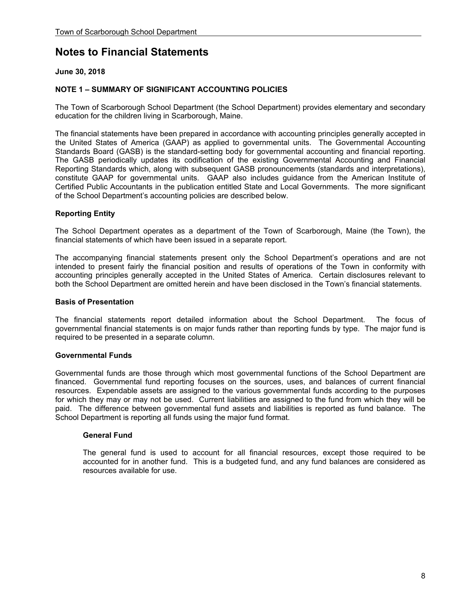## **June 30, 2018**

## **NOTE 1 – SUMMARY OF SIGNIFICANT ACCOUNTING POLICIES**

The Town of Scarborough School Department (the School Department) provides elementary and secondary education for the children living in Scarborough, Maine.

The financial statements have been prepared in accordance with accounting principles generally accepted in the United States of America (GAAP) as applied to governmental units. The Governmental Accounting Standards Board (GASB) is the standard-setting body for governmental accounting and financial reporting. The GASB periodically updates its codification of the existing Governmental Accounting and Financial Reporting Standards which, along with subsequent GASB pronouncements (standards and interpretations), constitute GAAP for governmental units. GAAP also includes guidance from the American Institute of Certified Public Accountants in the publication entitled State and Local Governments. The more significant of the School Department's accounting policies are described below.

### **Reporting Entity**

 The School Department operates as a department of the Town of Scarborough, Maine (the Town), the financial statements of which have been issued in a separate report.

 The accompanying financial statements present only the School Department's operations and are not intended to present fairly the financial position and results of operations of the Town in conformity with accounting principles generally accepted in the United States of America. Certain disclosures relevant to both the School Department are omitted herein and have been disclosed in the Town's financial statements.

#### **Basis of Presentation**

 The financial statements report detailed information about the School Department. The focus of governmental financial statements is on major funds rather than reporting funds by type. The major fund is required to be presented in a separate column.

#### **Governmental Funds**

Governmental funds are those through which most governmental functions of the School Department are financed. Governmental fund reporting focuses on the sources, uses, and balances of current financial resources. Expendable assets are assigned to the various governmental funds according to the purposes for which they may or may not be used. Current liabilities are assigned to the fund from which they will be paid. The difference between governmental fund assets and liabilities is reported as fund balance. The School Department is reporting all funds using the major fund format.

#### **General Fund**

The general fund is used to account for all financial resources, except those required to be accounted for in another fund. This is a budgeted fund, and any fund balances are considered as resources available for use.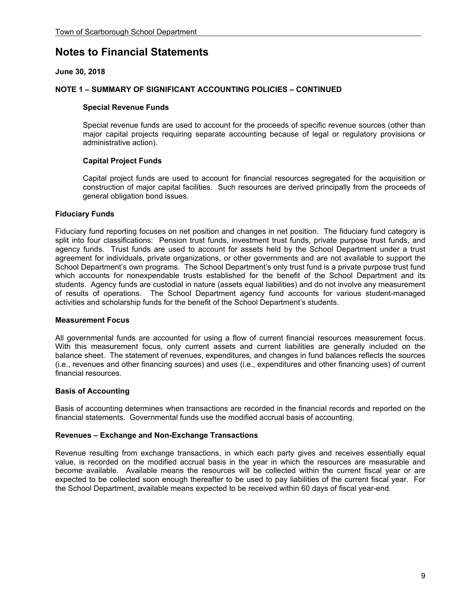## **June 30, 2018**

#### **NOTE 1 – SUMMARY OF SIGNIFICANT ACCOUNTING POLICIES – CONTINUED**

#### **Special Revenue Funds**

Special revenue funds are used to account for the proceeds of specific revenue sources (other than major capital projects requiring separate accounting because of legal or regulatory provisions or administrative action).

### **Capital Project Funds**

Capital project funds are used to account for financial resources segregated for the acquisition or construction of major capital facilities. Such resources are derived principally from the proceeds of general obligation bond issues.

#### **Fiduciary Funds**

Fiduciary fund reporting focuses on net position and changes in net position. The fiduciary fund category is split into four classifications: Pension trust funds, investment trust funds, private purpose trust funds, and agency funds. Trust funds are used to account for assets held by the School Department under a trust agreement for individuals, private organizations, or other governments and are not available to support the School Department's own programs. The School Department's only trust fund is a private purpose trust fund which accounts for nonexpendable trusts established for the benefit of the School Department and its students. Agency funds are custodial in nature (assets equal liabilities) and do not involve any measurement of results of operations. The School Department agency fund accounts for various student-managed activities and scholarship funds for the benefit of the School Department's students.

#### **Measurement Focus**

All governmental funds are accounted for using a flow of current financial resources measurement focus. With this measurement focus, only current assets and current liabilities are generally included on the balance sheet. The statement of revenues, expenditures, and changes in fund balances reflects the sources (i.e., revenues and other financing sources) and uses (i.e., expenditures and other financing uses) of current financial resources.

#### **Basis of Accounting**

Basis of accounting determines when transactions are recorded in the financial records and reported on the financial statements. Governmental funds use the modified accrual basis of accounting.

#### **Revenues – Exchange and Non-Exchange Transactions**

Revenue resulting from exchange transactions, in which each party gives and receives essentially equal value, is recorded on the modified accrual basis in the year in which the resources are measurable and become available. Available means the resources will be collected within the current fiscal year or are expected to be collected soon enough thereafter to be used to pay liabilities of the current fiscal year. For the School Department, available means expected to be received within 60 days of fiscal year-end.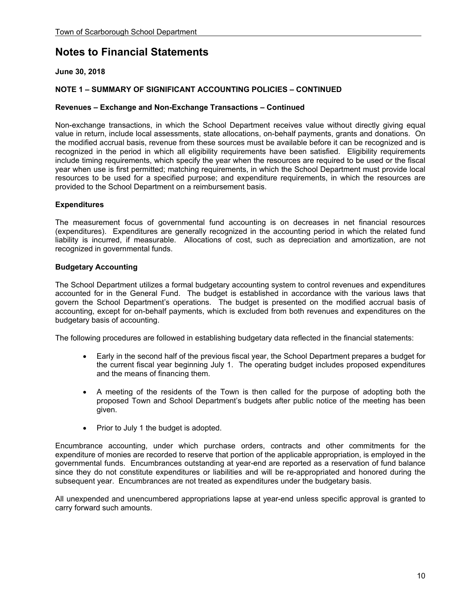## **June 30, 2018**

## **NOTE 1 – SUMMARY OF SIGNIFICANT ACCOUNTING POLICIES – CONTINUED**

#### **Revenues – Exchange and Non-Exchange Transactions – Continued**

Non-exchange transactions, in which the School Department receives value without directly giving equal value in return, include local assessments, state allocations, on-behalf payments, grants and donations. On the modified accrual basis, revenue from these sources must be available before it can be recognized and is recognized in the period in which all eligibility requirements have been satisfied. Eligibility requirements include timing requirements, which specify the year when the resources are required to be used or the fiscal year when use is first permitted; matching requirements, in which the School Department must provide local resources to be used for a specified purpose; and expenditure requirements, in which the resources are provided to the School Department on a reimbursement basis.

#### **Expenditures**

The measurement focus of governmental fund accounting is on decreases in net financial resources (expenditures). Expenditures are generally recognized in the accounting period in which the related fund liability is incurred, if measurable. Allocations of cost, such as depreciation and amortization, are not recognized in governmental funds.

#### **Budgetary Accounting**

The School Department utilizes a formal budgetary accounting system to control revenues and expenditures accounted for in the General Fund. The budget is established in accordance with the various laws that govern the School Department's operations. The budget is presented on the modified accrual basis of accounting, except for on-behalf payments, which is excluded from both revenues and expenditures on the budgetary basis of accounting.

The following procedures are followed in establishing budgetary data reflected in the financial statements:

- Early in the second half of the previous fiscal year, the School Department prepares a budget for the current fiscal year beginning July 1. The operating budget includes proposed expenditures and the means of financing them.
- A meeting of the residents of the Town is then called for the purpose of adopting both the proposed Town and School Department's budgets after public notice of the meeting has been given.
- Prior to July 1 the budget is adopted.

Encumbrance accounting, under which purchase orders, contracts and other commitments for the expenditure of monies are recorded to reserve that portion of the applicable appropriation, is employed in the governmental funds. Encumbrances outstanding at year-end are reported as a reservation of fund balance since they do not constitute expenditures or liabilities and will be re-appropriated and honored during the subsequent year. Encumbrances are not treated as expenditures under the budgetary basis.

 All unexpended and unencumbered appropriations lapse at year-end unless specific approval is granted to carry forward such amounts.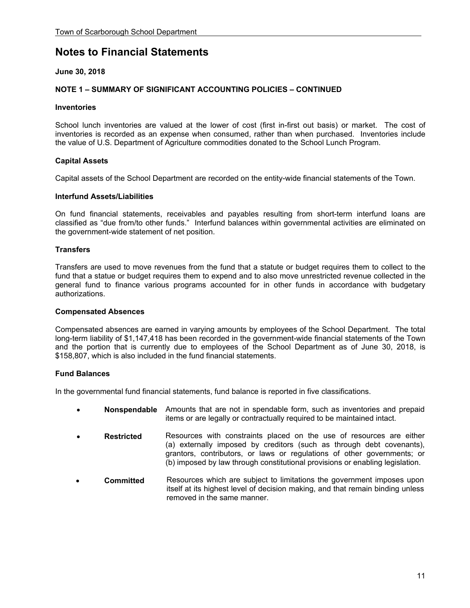## **June 30, 2018**

## **NOTE 1 – SUMMARY OF SIGNIFICANT ACCOUNTING POLICIES – CONTINUED**

#### **Inventories**

School lunch inventories are valued at the lower of cost (first in-first out basis) or market. The cost of inventories is recorded as an expense when consumed, rather than when purchased. Inventories include the value of U.S. Department of Agriculture commodities donated to the School Lunch Program.

### **Capital Assets**

Capital assets of the School Department are recorded on the entity-wide financial statements of the Town.

#### **Interfund Assets/Liabilities**

On fund financial statements, receivables and payables resulting from short-term interfund loans are classified as "due from/to other funds." Interfund balances within governmental activities are eliminated on the government-wide statement of net position.

#### **Transfers**

Transfers are used to move revenues from the fund that a statute or budget requires them to collect to the fund that a statue or budget requires them to expend and to also move unrestricted revenue collected in the general fund to finance various programs accounted for in other funds in accordance with budgetary authorizations.

#### **Compensated Absences**

Compensated absences are earned in varying amounts by employees of the School Department. The total long-term liability of \$1,147,418 has been recorded in the government-wide financial statements of the Town and the portion that is currently due to employees of the School Department as of June 30, 2018, is \$158,807, which is also included in the fund financial statements.

### **Fund Balances**

In the governmental fund financial statements, fund balance is reported in five classifications.

- **Nonspendable** Amounts that are not in spendable form, such as inventories and prepaid items or are legally or contractually required to be maintained intact.
- **Restricted** Resources with constraints placed on the use of resources are either (a) externally imposed by creditors (such as through debt covenants), grantors, contributors, or laws or regulations of other governments; or (b) imposed by law through constitutional provisions or enabling legislation.
- **Committed** Resources which are subject to limitations the government imposes upon itself at its highest level of decision making, and that remain binding unless removed in the same manner.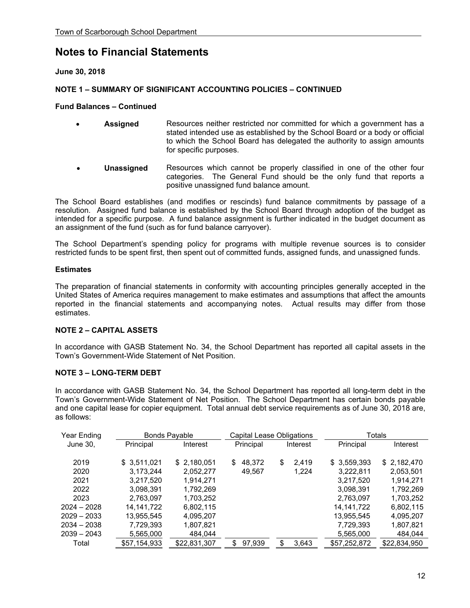**June 30, 2018** 

## **NOTE 1 – SUMMARY OF SIGNIFICANT ACCOUNTING POLICIES – CONTINUED**

#### **Fund Balances – Continued**

| $\bullet$ | <b>Assigned</b> | Resources neither restricted nor committed for which a government has a      |
|-----------|-----------------|------------------------------------------------------------------------------|
|           |                 | stated intended use as established by the School Board or a body or official |
|           |                 | to which the School Board has delegated the authority to assign amounts      |
|           |                 | for specific purposes.                                                       |

 **Unassigned** Resources which cannot be properly classified in one of the other four categories. The General Fund should be the only fund that reports a positive unassigned fund balance amount.

 The School Board establishes (and modifies or rescinds) fund balance commitments by passage of a resolution. Assigned fund balance is established by the School Board through adoption of the budget as intended for a specific purpose. A fund balance assignment is further indicated in the budget document as an assignment of the fund (such as for fund balance carryover).

 The School Department's spending policy for programs with multiple revenue sources is to consider restricted funds to be spent first, then spent out of committed funds, assigned funds, and unassigned funds.

#### **Estimates**

The preparation of financial statements in conformity with accounting principles generally accepted in the United States of America requires management to make estimates and assumptions that affect the amounts reported in the financial statements and accompanying notes. Actual results may differ from those estimates.

### **NOTE 2 – CAPITAL ASSETS**

In accordance with GASB Statement No. 34, the School Department has reported all capital assets in the Town's Government-Wide Statement of Net Position.

### **NOTE 3 – LONG-TERM DEBT**

In accordance with GASB Statement No. 34, the School Department has reported all long-term debt in the Town's Government-Wide Statement of Net Position. The School Department has certain bonds payable and one capital lease for copier equipment. Total annual debt service requirements as of June 30, 2018 are, as follows:

| Year Ending   |              | <b>Bonds Payable</b> |    | Capital Lease Obligations |    |          |              | Totals       |
|---------------|--------------|----------------------|----|---------------------------|----|----------|--------------|--------------|
| June 30,      | Principal    | Interest             |    | Principal                 |    | Interest | Principal    | Interest     |
| 2019          | \$3,511,021  | \$2,180,051          | \$ | 48,372                    | \$ | 2.419    | \$3,559,393  | \$2,182,470  |
| 2020          | 3,173,244    | 2,052,277            |    | 49,567                    |    | 1,224    | 3,222,811    | 2,053,501    |
| 2021          | 3,217,520    | 1.914.271            |    |                           |    |          | 3,217,520    | 1,914,271    |
| 2022          | 3,098,391    | 1,792,269            |    |                           |    |          | 3,098,391    | 1,792,269    |
| 2023          | 2,763,097    | 1,703,252            |    |                           |    |          | 2,763,097    | 1,703,252    |
| $2024 - 2028$ | 14.141.722   | 6,802,115            |    |                           |    |          | 14, 141, 722 | 6,802,115    |
| $2029 - 2033$ | 13,955,545   | 4,095,207            |    |                           |    |          | 13,955,545   | 4,095,207    |
| $2034 - 2038$ | 7,729,393    | 1,807,821            |    |                           |    |          | 7,729,393    | 1,807,821    |
| $2039 - 2043$ | 5,565,000    | 484,044              |    |                           |    |          | 5,565,000    | 484,044      |
| Total         | \$57,154,933 | \$22,831,307         | S  | 97,939                    | S  | 3.643    | \$57,252,872 | \$22,834,950 |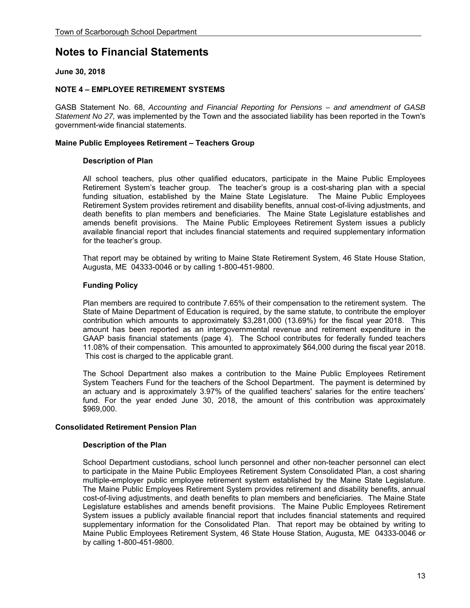## **June 30, 2018**

#### **NOTE 4 – EMPLOYEE RETIREMENT SYSTEMS**

GASB Statement No. 68, *Accounting and Financial Reporting for Pensions – and amendment of GASB Statement No 27,* was implemented by the Town and the associated liability has been reported in the Town's government-wide financial statements.

#### **Maine Public Employees Retirement – Teachers Group**

#### **Description of Plan**

All school teachers, plus other qualified educators, participate in the Maine Public Employees Retirement System's teacher group. The teacher's group is a cost-sharing plan with a special funding situation, established by the Maine State Legislature. The Maine Public Employees Retirement System provides retirement and disability benefits, annual cost-of-living adjustments, and death benefits to plan members and beneficiaries. The Maine State Legislature establishes and amends benefit provisions. The Maine Public Employees Retirement System issues a publicly available financial report that includes financial statements and required supplementary information for the teacher's group.

That report may be obtained by writing to Maine State Retirement System, 46 State House Station, Augusta, ME 04333-0046 or by calling 1-800-451-9800.

#### **Funding Policy**

Plan members are required to contribute 7.65% of their compensation to the retirement system. The State of Maine Department of Education is required, by the same statute, to contribute the employer contribution which amounts to approximately \$3,281,000 (13.69%) for the fiscal year 2018. This amount has been reported as an intergovernmental revenue and retirement expenditure in the GAAP basis financial statements (page 4). The School contributes for federally funded teachers 11.08% of their compensation. This amounted to approximately \$64,000 during the fiscal year 2018. This cost is charged to the applicable grant.

The School Department also makes a contribution to the Maine Public Employees Retirement System Teachers Fund for the teachers of the School Department. The payment is determined by an actuary and is approximately 3.97% of the qualified teachers' salaries for the entire teachers' fund. For the year ended June 30, 2018, the amount of this contribution was approximately \$969,000.

#### **Consolidated Retirement Pension Plan**

#### **Description of the Plan**

School Department custodians, school lunch personnel and other non-teacher personnel can elect to participate in the Maine Public Employees Retirement System Consolidated Plan, a cost sharing multiple-employer public employee retirement system established by the Maine State Legislature. The Maine Public Employees Retirement System provides retirement and disability benefits, annual cost-of-living adjustments, and death benefits to plan members and beneficiaries. The Maine State Legislature establishes and amends benefit provisions. The Maine Public Employees Retirement System issues a publicly available financial report that includes financial statements and required supplementary information for the Consolidated Plan. That report may be obtained by writing to Maine Public Employees Retirement System, 46 State House Station, Augusta, ME 04333-0046 or by calling 1-800-451-9800.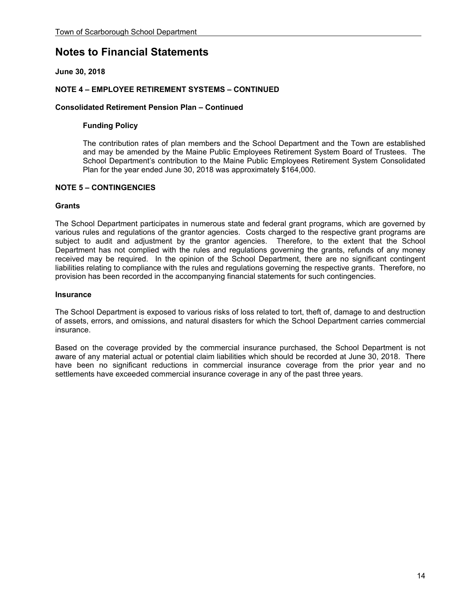## **June 30, 2018**

### **NOTE 4 – EMPLOYEE RETIREMENT SYSTEMS – CONTINUED**

#### **Consolidated Retirement Pension Plan – Continued**

#### **Funding Policy**

The contribution rates of plan members and the School Department and the Town are established and may be amended by the Maine Public Employees Retirement System Board of Trustees. The School Department's contribution to the Maine Public Employees Retirement System Consolidated Plan for the year ended June 30, 2018 was approximately \$164,000.

### **NOTE 5 – CONTINGENCIES**

#### **Grants**

The School Department participates in numerous state and federal grant programs, which are governed by various rules and regulations of the grantor agencies. Costs charged to the respective grant programs are subject to audit and adjustment by the grantor agencies. Therefore, to the extent that the School Department has not complied with the rules and regulations governing the grants, refunds of any money received may be required. In the opinion of the School Department, there are no significant contingent liabilities relating to compliance with the rules and regulations governing the respective grants. Therefore, no provision has been recorded in the accompanying financial statements for such contingencies.

#### **Insurance**

The School Department is exposed to various risks of loss related to tort, theft of, damage to and destruction of assets, errors, and omissions, and natural disasters for which the School Department carries commercial insurance.

Based on the coverage provided by the commercial insurance purchased, the School Department is not aware of any material actual or potential claim liabilities which should be recorded at June 30, 2018. There have been no significant reductions in commercial insurance coverage from the prior year and no settlements have exceeded commercial insurance coverage in any of the past three years.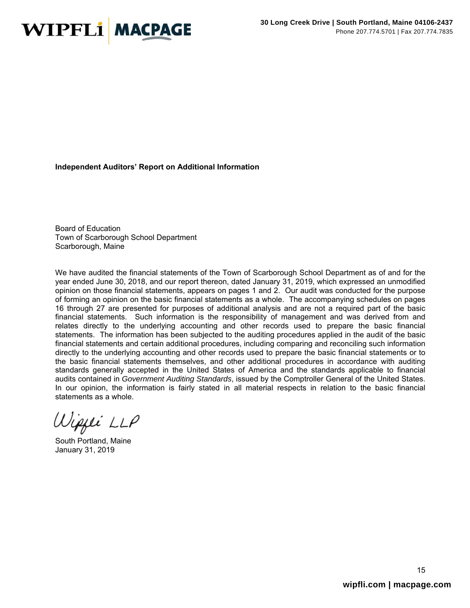

#### **Independent Auditors' Report on Additional Information**

Board of Education Town of Scarborough School Department Scarborough, Maine

We have audited the financial statements of the Town of Scarborough School Department as of and for the year ended June 30, 2018, and our report thereon, dated January 31, 2019, which expressed an unmodified opinion on those financial statements, appears on pages 1 and 2. Our audit was conducted for the purpose of forming an opinion on the basic financial statements as a whole. The accompanying schedules on pages 16 through 27 are presented for purposes of additional analysis and are not a required part of the basic financial statements. Such information is the responsibility of management and was derived from and relates directly to the underlying accounting and other records used to prepare the basic financial statements. The information has been subjected to the auditing procedures applied in the audit of the basic financial statements and certain additional procedures, including comparing and reconciling such information directly to the underlying accounting and other records used to prepare the basic financial statements or to the basic financial statements themselves, and other additional procedures in accordance with auditing standards generally accepted in the United States of America and the standards applicable to financial audits contained in *Government Auditing Standards*, issued by the Comptroller General of the United States. In our opinion, the information is fairly stated in all material respects in relation to the basic financial statements as a whole.

Wippi LLP

South Portland, Maine January 31, 2019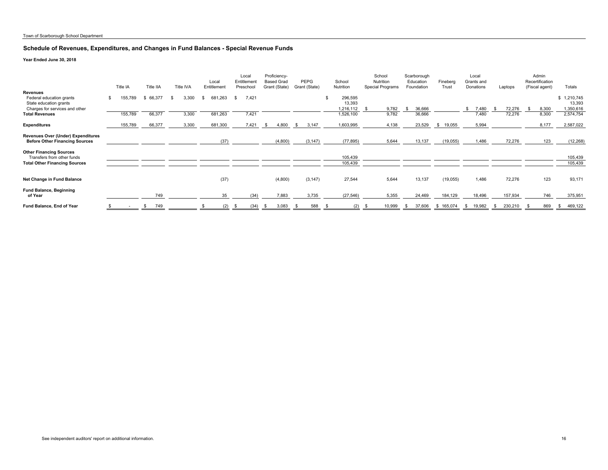#### **Schedule of Revenues, Expenditures, and Changes in Fund Balances - Special Revenue Funds**

|                                                                                                         | Title IA           | Title IIA        |     | Title IVA      |    | Local<br>Entitlement | Local<br>Entitlement<br>Preschool |                |      | Proficiency-<br><b>Based Grad</b><br>Grant (State) | PEPG<br>Grant (State) | School<br>Nutrition            |      | School<br>Nutrition<br><b>Special Programs</b> |     | Scarborough<br>Education<br>Foundation | Fineberg<br>Trust |     | Local<br>Grants and<br>Donations |     | Laptops | Admin<br>Recertification<br>(Fiscal agent) | Totals                           |
|---------------------------------------------------------------------------------------------------------|--------------------|------------------|-----|----------------|----|----------------------|-----------------------------------|----------------|------|----------------------------------------------------|-----------------------|--------------------------------|------|------------------------------------------------|-----|----------------------------------------|-------------------|-----|----------------------------------|-----|---------|--------------------------------------------|----------------------------------|
| <b>Revenues</b><br>Federal education grants<br>State education grants<br>Charges for services and other | \$<br>55,789       | \$ 66,377        |     | 3,300          | s. | 681,263              |                                   | 7,421          |      |                                                    |                       | 296,595<br>13,393<br>1,216,112 |      | 9,782                                          | -86 | 36,666                                 |                   | \$  | 7,480                            |     | 72,276  | 8,300                                      | 1,210,745<br>13,393<br>1,350,616 |
| <b>Total Revenues</b><br><b>Expenditures</b>                                                            | 155,789<br>155,789 | 66,377<br>66,377 |     | 3,300<br>3,300 |    | 681,263<br>681,300   |                                   | 7,421<br>7,421 | - \$ | 4,800                                              | 3,147<br>S.           | 1,526,100<br>1,603,995         |      | 9,782<br>4,138                                 |     | 36,666<br>23,529                       | \$19,055          |     | 7.480<br>5,994                   |     | 72,276  | 8,300<br>8,177                             | 2,574,754<br>2,587,022           |
| Revenues Over (Under) Expenditures<br><b>Before Other Financing Sources</b>                             |                    |                  |     |                |    | (37)                 |                                   |                |      | (4,800)                                            | (3, 147)              | (77, 895)                      |      | 5,644                                          |     | 13,137                                 | (19,055)          |     | 1.486                            |     | 72,276  | 123                                        | (12, 268)                        |
| <b>Other Financing Sources</b><br>Transfers from other funds<br><b>Total Other Financing Sources</b>    |                    |                  |     |                |    |                      |                                   |                |      |                                                    |                       | 105,439<br>105,439             |      |                                                |     |                                        |                   |     |                                  |     |         |                                            | 105,439<br>105,439               |
| Net Change in Fund Balance                                                                              |                    |                  |     |                |    | (37)                 |                                   |                |      | (4,800)                                            | (3, 147)              | 27,544                         |      | 5,644                                          |     | 13,137                                 | (19,055)          |     | 1,486                            |     | 72,276  | 123                                        | 93,171                           |
| <b>Fund Balance, Beginning</b><br>of Year                                                               |                    |                  | 749 |                |    |                      |                                   | (34)           |      | 7,883                                              | 3,735                 | (27, 546)                      |      | 5,355                                          |     | 24,469                                 | 184,129           |     | 18,496                           |     | 157,934 | 746                                        | 375,951                          |
| Fund Balance, End of Year                                                                               |                    | S                | 749 |                |    | (2)                  | - \$                              | (34)           | -S   | 3,083                                              | 588                   | (2)                            | - \$ | 10,999                                         | S.  | 37,606                                 | \$165,074         | -SS | 19,982                           | - S | 230,210 | 869                                        | 469,122<br>- \$                  |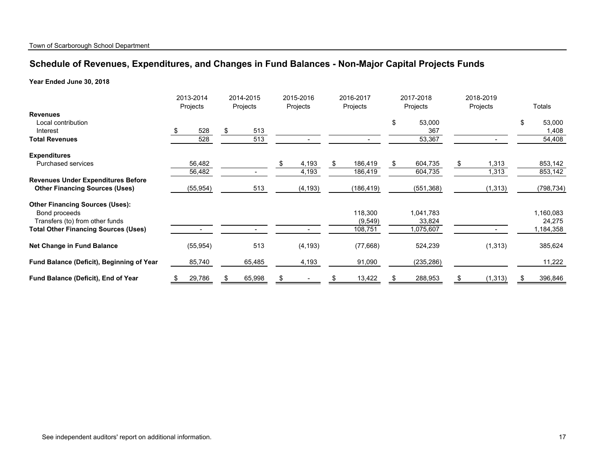# **Schedule of Revenues, Expenditures, and Changes in Fund Balances - Non-Major Capital Projects Funds**

|                                             | 2013-2014<br>Projects | 2014-2015<br>Projects | 2015-2016<br>Projects | 2016-2017<br>Projects | 2017-2018<br>Projects | 2018-2019<br>Projects | Totals       |
|---------------------------------------------|-----------------------|-----------------------|-----------------------|-----------------------|-----------------------|-----------------------|--------------|
| <b>Revenues</b>                             |                       |                       |                       |                       |                       |                       |              |
| Local contribution                          |                       |                       |                       |                       | 53,000                |                       | \$<br>53,000 |
| Interest                                    | 528<br>\$.            | 513<br>\$.            |                       |                       | 367                   |                       | 1,408        |
| <b>Total Revenues</b>                       | 528                   | 513                   |                       |                       | 53,367                |                       | 54,408       |
| <b>Expenditures</b>                         |                       |                       |                       |                       |                       |                       |              |
| <b>Purchased services</b>                   | 56,482                |                       | \$<br>4,193           | 186,419<br>\$.        | 604,735<br>\$.        | 1,313<br>\$           | 853,142      |
|                                             | 56,482                |                       | 4,193                 | 186,419               | 604,735               | 1,313                 | 853,142      |
| <b>Revenues Under Expenditures Before</b>   |                       |                       |                       |                       |                       |                       |              |
| <b>Other Financing Sources (Uses)</b>       | (55,954)              | 513                   | (4, 193)              | (186, 419)            | (551, 368)            | (1, 313)              | (798, 734)   |
| <b>Other Financing Sources (Uses):</b>      |                       |                       |                       |                       |                       |                       |              |
| Bond proceeds                               |                       |                       |                       | 118,300               | 1,041,783             |                       | 1,160,083    |
| Transfers (to) from other funds             |                       |                       |                       | (9, 549)              | 33,824                |                       | 24,275       |
| <b>Total Other Financing Sources (Uses)</b> |                       |                       |                       | 108,751               | 1,075,607             |                       | 1,184,358    |
| Net Change in Fund Balance                  | (55, 954)             | 513                   | (4, 193)              | (77, 668)             | 524,239               | (1, 313)              | 385,624      |
| Fund Balance (Deficit), Beginning of Year   | 85,740                | 65,485                | 4,193                 | 91,090                | (235, 286)            |                       | 11,222       |
| Fund Balance (Deficit), End of Year         | 29,786                | 65,998                |                       | 13,422                | 288,953               | (1, 313)              | 396,846      |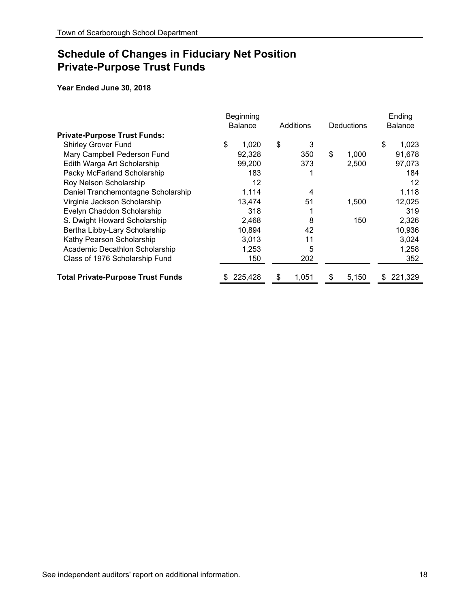# **Schedule of Changes in Fiduciary Net Position Private-Purpose Trust Funds**

|                                          | Beginning<br><b>Balance</b> | Additions | <b>Deductions</b> |    | Ending<br><b>Balance</b> |
|------------------------------------------|-----------------------------|-----------|-------------------|----|--------------------------|
| <b>Private-Purpose Trust Funds:</b>      |                             |           |                   |    |                          |
| <b>Shirley Grover Fund</b>               | \$<br>1,020                 | \$<br>3   |                   | \$ | 1,023                    |
| Mary Campbell Pederson Fund              | 92,328                      | 350       | \$<br>1,000       |    | 91,678                   |
| Edith Warga Art Scholarship              | 99.200                      | 373       | 2.500             |    | 97,073                   |
| Packy McFarland Scholarship              | 183                         |           |                   |    | 184                      |
| Roy Nelson Scholarship                   | 12                          |           |                   |    | 12                       |
| Daniel Tranchemontagne Scholarship       | 1,114                       | 4         |                   |    | 1,118                    |
| Virginia Jackson Scholarship             | 13,474                      | 51        | 1,500             |    | 12,025                   |
| Evelyn Chaddon Scholarship               | 318                         |           |                   |    | 319                      |
| S. Dwight Howard Scholarship             | 2,468                       | 8         | 150               |    | 2,326                    |
| Bertha Libby-Lary Scholarship            | 10,894                      | 42        |                   |    | 10,936                   |
| Kathy Pearson Scholarship                | 3,013                       | 11        |                   |    | 3,024                    |
| Academic Decathlon Scholarship           | 1,253                       | 5         |                   |    | 1,258                    |
| Class of 1976 Scholarship Fund           | 150                         | 202       |                   |    | 352                      |
| <b>Total Private-Purpose Trust Funds</b> | 225,428                     | 1,051     | \$<br>5,150       | S  | 221,329                  |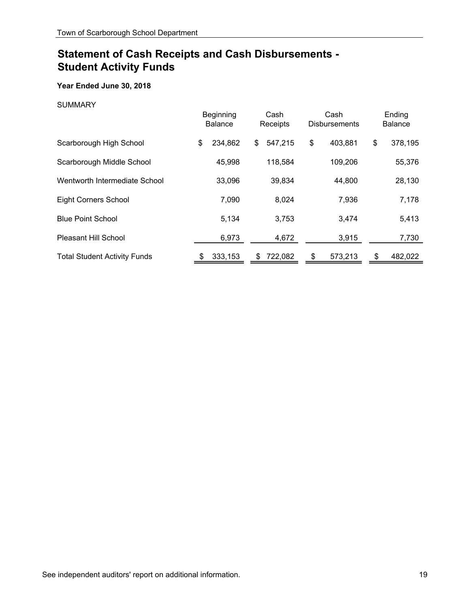## **Year Ended June 30, 2018**

### SUMMARY

|                                     | Beginning<br><b>Balance</b> |    | Cash<br>Receipts | Cash<br><b>Disbursements</b> | Ending<br><b>Balance</b> |
|-------------------------------------|-----------------------------|----|------------------|------------------------------|--------------------------|
| Scarborough High School             | \$<br>234,862               | \$ | 547,215          | \$<br>403,881                | \$<br>378,195            |
| Scarborough Middle School           | 45,998                      |    | 118,584          | 109,206                      | 55,376                   |
| Wentworth Intermediate School       | 33,096                      |    | 39,834           | 44,800                       | 28,130                   |
| <b>Eight Corners School</b>         | 7,090                       |    | 8,024            | 7,936                        | 7,178                    |
| <b>Blue Point School</b>            | 5.134                       |    | 3,753            | 3,474                        | 5,413                    |
| Pleasant Hill School                | 6,973                       |    | 4,672            | 3,915                        | 7,730                    |
| <b>Total Student Activity Funds</b> | 333,153                     | S  | 722,082          | \$<br>573,213                | 482,022                  |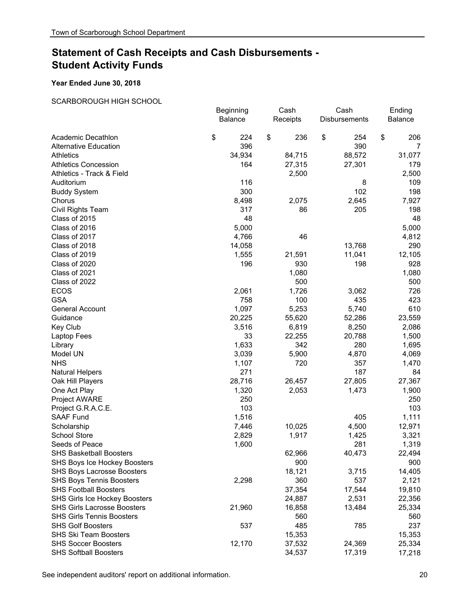#### **Year Ended June 30, 2018**

#### SCARBOROUGH HIGH SCHOOL

|                                    | Beginning | Cash      | Cash                 | Ending    |
|------------------------------------|-----------|-----------|----------------------|-----------|
|                                    | Balance   | Receipts  | <b>Disbursements</b> | Balance   |
| Academic Decathlon                 | \$<br>224 | \$<br>236 | \$<br>254            | \$<br>206 |
| <b>Alternative Education</b>       | 396       |           | 390                  | 7         |
| <b>Athletics</b>                   | 34,934    | 84,715    | 88,572               | 31,077    |
| <b>Athletics Concession</b>        | 164       | 27,315    | 27,301               | 179       |
| Athletics - Track & Field          |           | 2,500     |                      | 2,500     |
| Auditorium                         | 116       |           | 8                    | 109       |
| <b>Buddy System</b>                | 300       |           | 102                  | 198       |
| Chorus                             | 8,498     | 2,075     | 2,645                | 7,927     |
| Civil Rights Team                  | 317       | 86        | 205                  | 198       |
| Class of 2015                      | 48        |           |                      | 48        |
| Class of 2016                      | 5,000     |           |                      | 5,000     |
| Class of 2017                      | 4,766     | 46        |                      | 4,812     |
| Class of 2018                      | 14,058    |           | 13,768               | 290       |
| Class of 2019                      | 1,555     | 21,591    | 11,041               | 12,105    |
| Class of 2020                      | 196       | 930       | 198                  | 928       |
| Class of 2021                      |           | 1,080     |                      | 1,080     |
| Class of 2022                      |           | 500       |                      | 500       |
| <b>ECOS</b>                        | 2,061     | 1,726     | 3,062                | 726       |
| <b>GSA</b>                         | 758       | 100       | 435                  | 423       |
| <b>General Account</b>             | 1,097     | 5,253     | 5,740                | 610       |
| Guidance                           | 20,225    | 55,620    | 52,286               | 23,559    |
| Key Club                           | 3,516     | 6,819     | 8,250                | 2,086     |
| Laptop Fees                        | 33        | 22,255    | 20,788               | 1,500     |
| Library                            | 1,633     | 342       | 280                  | 1,695     |
| Model UN                           | 3,039     | 5,900     | 4,870                | 4,069     |
| <b>NHS</b>                         | 1,107     | 720       | 357                  | 1,470     |
| <b>Natural Helpers</b>             | 271       |           | 187                  | 84        |
| Oak Hill Players                   | 28,716    | 26,457    | 27,805               | 27,367    |
| One Act Play                       | 1,320     | 2,053     | 1,473                | 1,900     |
| <b>Project AWARE</b>               | 250       |           |                      | 250       |
| Project G.R.A.C.E.                 | 103       |           |                      | 103       |
| <b>SAAF Fund</b>                   | 1,516     |           | 405                  | 1,111     |
| Scholarship                        | 7,446     | 10,025    | 4,500                | 12,971    |
| <b>School Store</b>                | 2,829     | 1,917     | 1,425                | 3,321     |
| Seeds of Peace                     | 1,600     |           | 281                  | 1,319     |
| <b>SHS Basketball Boosters</b>     |           | 62,966    | 40,473               | 22,494    |
| SHS Boys Ice Hockey Boosters       |           | 900       |                      | 900       |
| <b>SHS Boys Lacrosse Boosters</b>  |           | 18,121    | 3,715                | 14,405    |
| <b>SHS Boys Tennis Boosters</b>    | 2,298     | 360       | 537                  | 2,121     |
| <b>SHS Football Boosters</b>       |           | 37,354    | 17,544               | 19,810    |
| SHS Girls Ice Hockey Boosters      |           | 24,887    | 2,531                | 22,356    |
| <b>SHS Girls Lacrosse Boosters</b> | 21,960    | 16,858    | 13,484               | 25,334    |
| <b>SHS Girls Tennis Boosters</b>   |           | 560       |                      | 560       |
| <b>SHS Golf Boosters</b>           | 537       | 485       | 785                  | 237       |
| <b>SHS Ski Team Boosters</b>       |           | 15,353    |                      | 15,353    |
| <b>SHS Soccer Boosters</b>         | 12,170    | 37,532    | 24,369               | 25,334    |
| <b>SHS Softball Boosters</b>       |           | 34,537    | 17,319               | 17,218    |

See independent auditors' report on additional information. **20** 20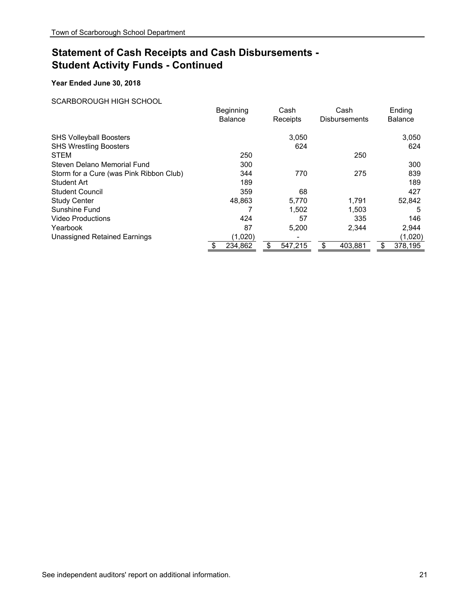## **Year Ended June 30, 2018**

#### SCARBOROUGH HIGH SCHOOL

|                                         | Beginning<br><b>Balance</b> | Cash<br>Receipts | Cash<br><b>Disbursements</b> | Ending<br><b>Balance</b> |
|-----------------------------------------|-----------------------------|------------------|------------------------------|--------------------------|
| <b>SHS Volleyball Boosters</b>          |                             | 3.050            |                              | 3,050                    |
| <b>SHS Wrestling Boosters</b>           |                             | 624              |                              | 624                      |
| <b>STEM</b>                             | 250                         |                  | 250                          |                          |
| Steven Delano Memorial Fund             | 300                         |                  |                              | 300                      |
| Storm for a Cure (was Pink Ribbon Club) | 344                         | 770              | 275                          | 839                      |
| <b>Student Art</b>                      | 189                         |                  |                              | 189                      |
| <b>Student Council</b>                  | 359                         | 68               |                              | 427                      |
| <b>Study Center</b>                     | 48,863                      | 5,770            | 1,791                        | 52,842                   |
| Sunshine Fund                           |                             | 1,502            | 1,503                        | 5                        |
| <b>Video Productions</b>                | 424                         | 57               | 335                          | 146                      |
| Yearbook                                | 87                          | 5,200            | 2,344                        | 2,944                    |
| <b>Unassigned Retained Earnings</b>     | (1,020)                     |                  |                              | (1,020)                  |
|                                         | 234,862                     | \$<br>547,215    | \$<br>403,881                | \$<br>378,195            |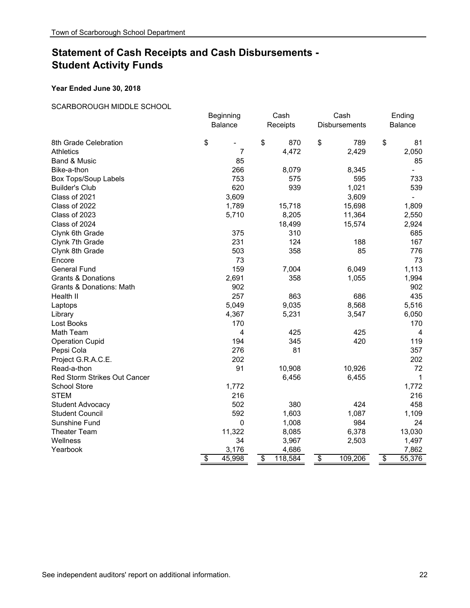#### **Year Ended June 30, 2018**

## SCARBOROUGH MIDDLE SCHOOL

|                                     | Beginning    | Cash          |                         | Cash          |                 | Ending         |
|-------------------------------------|--------------|---------------|-------------------------|---------------|-----------------|----------------|
|                                     | Balance      | Receipts      |                         | Disbursements |                 | <b>Balance</b> |
| 8th Grade Celebration               | \$<br>-      | \$<br>870     | \$                      | 789           | \$              | 81             |
| <b>Athletics</b>                    | 7            | 4,472         |                         | 2,429         |                 | 2,050          |
| Band & Music                        | 85           |               |                         |               |                 | 85             |
| Bike-a-thon                         | 266          | 8,079         |                         | 8,345         |                 |                |
| <b>Box Tops/Soup Labels</b>         | 753          | 575           |                         | 595           |                 | 733            |
| <b>Builder's Club</b>               | 620          | 939           |                         | 1,021         |                 | 539            |
| Class of 2021                       | 3,609        |               |                         | 3,609         |                 | $\blacksquare$ |
| Class of 2022                       | 1,789        | 15,718        |                         | 15,698        |                 | 1,809          |
| Class of 2023                       | 5,710        | 8,205         |                         | 11,364        |                 | 2,550          |
| Class of 2024                       |              | 18,499        |                         | 15,574        |                 | 2,924          |
| Clynk 6th Grade                     | 375          | 310           |                         |               |                 | 685            |
| Clynk 7th Grade                     | 231          | 124           |                         | 188           |                 | 167            |
| Clynk 8th Grade                     | 503          | 358           |                         | 85            |                 | 776            |
| Encore                              | 73           |               |                         |               |                 | 73             |
| <b>General Fund</b>                 | 159          | 7,004         |                         | 6,049         |                 | 1,113          |
| <b>Grants &amp; Donations</b>       | 2,691        | 358           |                         | 1,055         |                 | 1,994          |
| Grants & Donations: Math            | 902          |               |                         |               |                 | 902            |
| Health II                           | 257          | 863           |                         | 686           |                 | 435            |
| Laptops                             | 5,049        | 9,035         |                         | 8,568         |                 | 5,516          |
| Library                             | 4,367        | 5,231         |                         | 3,547         |                 | 6,050          |
| Lost Books                          | 170          |               |                         |               |                 | 170            |
| Math Team                           | 4            | 425           |                         | 425           |                 | $\overline{4}$ |
| <b>Operation Cupid</b>              | 194          | 345           |                         | 420           |                 | 119            |
| Pepsi Cola                          | 276          | 81            |                         |               |                 | 357            |
| Project G.R.A.C.E.                  | 202          |               |                         |               |                 | 202            |
| Read-a-thon                         | 91           | 10,908        |                         | 10,926        |                 | 72             |
| <b>Red Storm Strikes Out Cancer</b> |              | 6,456         |                         | 6,455         |                 | 1              |
| <b>School Store</b>                 | 1,772        |               |                         |               |                 | 1,772          |
| <b>STEM</b>                         | 216          |               |                         |               |                 | 216            |
| Student Advocacy                    | 502          | 380           |                         | 424           |                 | 458            |
| <b>Student Council</b>              | 592          | 1,603         |                         | 1,087         |                 | 1,109          |
| Sunshine Fund                       | 0            | 1,008         |                         | 984           |                 | 24             |
| <b>Theater Team</b>                 | 11,322       | 8,085         |                         | 6,378         |                 | 13,030         |
| Wellness                            | 34           | 3,967         |                         | 2,503         |                 | 1,497          |
| Yearbook                            | 3,176        | 4,686         |                         |               |                 | 7,862          |
|                                     | \$<br>45,998 | \$<br>118,584 | $\overline{\mathbf{S}}$ | 109,206       | $\overline{\$}$ | 55,376         |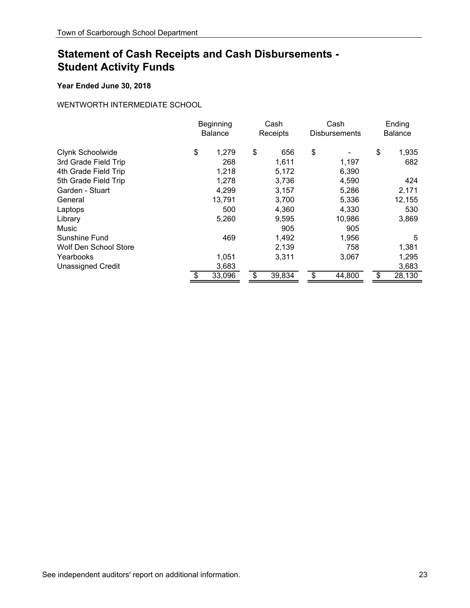## **Year Ended June 30, 2018**

## WENTWORTH INTERMEDIATE SCHOOL

|                          | Beginning<br><b>Balance</b> | Cash<br>Receipts |        | Cash<br><b>Disbursements</b> |        | Ending<br><b>Balance</b> |        |
|--------------------------|-----------------------------|------------------|--------|------------------------------|--------|--------------------------|--------|
| Clynk Schoolwide         | \$<br>1,279                 | \$               | 656    | \$                           |        | \$                       | 1,935  |
| 3rd Grade Field Trip     | 268                         |                  | 1,611  |                              | 1,197  |                          | 682    |
| 4th Grade Field Trip     | 1,218                       |                  | 5,172  |                              | 6,390  |                          |        |
| 5th Grade Field Trip     | 1,278                       |                  | 3,736  |                              | 4,590  |                          | 424    |
| Garden - Stuart          | 4,299                       |                  | 3,157  |                              | 5,286  |                          | 2,171  |
| General                  | 13,791                      |                  | 3,700  |                              | 5,336  |                          | 12,155 |
| Laptops                  | 500                         |                  | 4,360  |                              | 4,330  |                          | 530    |
| Library                  | 5,260                       |                  | 9,595  |                              | 10,986 |                          | 3,869  |
| Music                    |                             |                  | 905    |                              | 905    |                          |        |
| Sunshine Fund            | 469                         |                  | 1,492  |                              | 1,956  |                          | 5      |
| Wolf Den School Store    |                             |                  | 2,139  |                              | 758    |                          | 1,381  |
| Yearbooks                | 1,051                       |                  | 3,311  |                              | 3,067  |                          | 1,295  |
| <b>Unassigned Credit</b> | 3,683                       |                  |        |                              |        |                          | 3,683  |
|                          | \$<br>33,096                | \$               | 39,834 | \$                           | 44,800 | \$                       | 28,130 |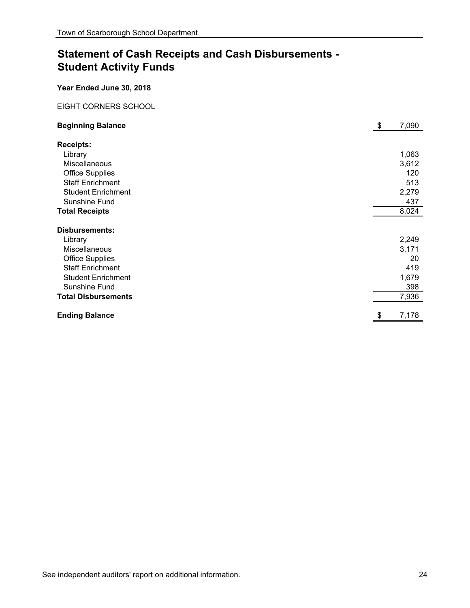**Year Ended June 30, 2018**

## EIGHT CORNERS SCHOOL

| <b>Beginning Balance</b>   | \$<br>7,090 |
|----------------------------|-------------|
| <b>Receipts:</b>           |             |
| Library                    | 1,063       |
| <b>Miscellaneous</b>       | 3,612       |
| <b>Office Supplies</b>     | 120         |
| <b>Staff Enrichment</b>    | 513         |
| <b>Student Enrichment</b>  | 2,279       |
| Sunshine Fund              | 437         |
| <b>Total Receipts</b>      | 8,024       |
| <b>Disbursements:</b>      |             |
| Library                    | 2,249       |
| Miscellaneous              | 3,171       |
| <b>Office Supplies</b>     | 20          |
| <b>Staff Enrichment</b>    | 419         |
| <b>Student Enrichment</b>  | 1,679       |
| Sunshine Fund              | 398         |
| <b>Total Disbursements</b> | 7,936       |
|                            |             |
| <b>Ending Balance</b>      | 7,178       |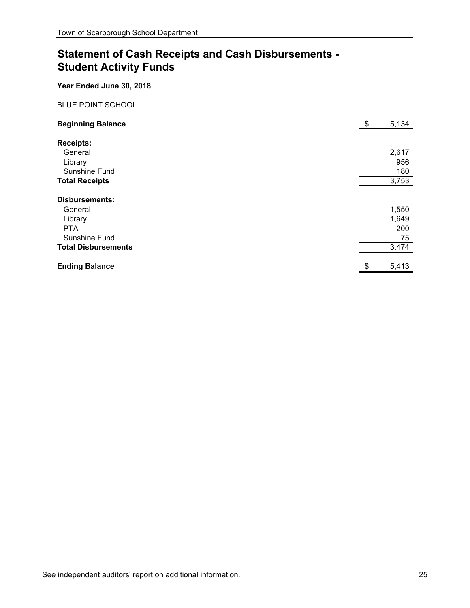**Year Ended June 30, 2018**

## BLUE POINT SCHOOL

| <b>Beginning Balance</b>   | \$  | 5,134 |
|----------------------------|-----|-------|
| <b>Receipts:</b>           |     |       |
| General                    |     | 2,617 |
| Library                    |     | 956   |
| Sunshine Fund              |     | 180   |
| <b>Total Receipts</b>      |     | 3,753 |
| <b>Disbursements:</b>      |     |       |
| General                    |     | 1,550 |
| Library                    |     | 1,649 |
| <b>PTA</b>                 |     | 200   |
| Sunshine Fund              |     | 75    |
| <b>Total Disbursements</b> |     | 3,474 |
| <b>Ending Balance</b>      | \$. | 5,413 |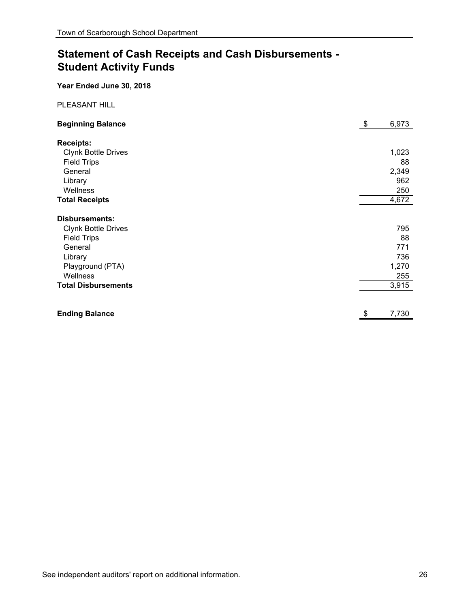**Year Ended June 30, 2018**

PLEASANT HILL

| <b>Beginning Balance</b>   | \$<br>6,973 |
|----------------------------|-------------|
| <b>Receipts:</b>           |             |
| <b>Clynk Bottle Drives</b> | 1,023       |
| <b>Field Trips</b>         | 88          |
| General                    | 2,349       |
| Library                    | 962         |
| Wellness                   | 250         |
| <b>Total Receipts</b>      | 4,672       |
| <b>Disbursements:</b>      |             |
| <b>Clynk Bottle Drives</b> | 795         |
| <b>Field Trips</b>         | 88          |
| General                    | 771         |
| Library                    | 736         |
| Playground (PTA)           | 1,270       |
| Wellness                   | 255         |
| <b>Total Disbursements</b> | 3,915       |
|                            |             |
| <b>Ending Balance</b>      | 7,730       |
|                            |             |